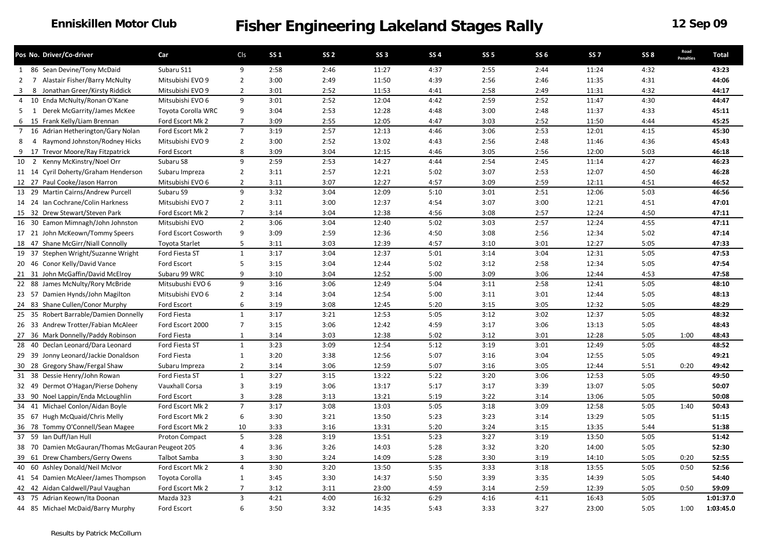#### **Enniskillen Motor Club**

|                   | Pos No. Driver/Co-driver                          | Car                   | Cls            | <b>SS1</b> | SS <sub>2</sub> | <b>SS 3</b> | <b>SS4</b> | <b>SS 5</b> | <b>SS 6</b> | SS <sub>7</sub> | SS <sub>8</sub> | Road<br>Penalties | <b>Total</b> |
|-------------------|---------------------------------------------------|-----------------------|----------------|------------|-----------------|-------------|------------|-------------|-------------|-----------------|-----------------|-------------------|--------------|
|                   | 1 86 Sean Devine/Tony McDaid                      | Subaru S11            | 9              | 2:58       | 2:46            | 11:27       | 4:37       | 2:55        | 2:44        | 11:24           | 4:32            |                   | 43:23        |
| 2                 | 7 Alastair Fisher/Barry McNulty                   | Mitsubishi EVO 9      | $\overline{2}$ | 3:00       | 2:49            | 11:50       | 4:39       | 2:56        | 2:46        | 11:35           | 4:31            |                   | 44:06        |
| 3<br>8            | Jonathan Greer/Kirsty Riddick                     | Mitsubishi EVO 9      | $\overline{2}$ | 3:01       | 2:52            | 11:53       | 4:41       | 2:58        | 2:49        | 11:31           | 4:32            |                   | 44:17        |
| 4                 | 10 Enda McNulty/Ronan O'Kane                      | Mitsubishi EVO 6      | 9              | 3:01       | 2:52            | 12:04       | 4:42       | 2:59        | 2:52        | 11:47           | 4:30            |                   | 44:47        |
| 5<br>$\mathbf{1}$ | Derek McGarrity/James McKee                       | Toyota Corolla WRC    | 9              | 3:04       | 2:53            | 12:28       | 4:48       | 3:00        | 2:48        | 11:37           | 4:33            |                   | 45:11        |
| 6                 | 15 Frank Kelly/Liam Brennan                       | Ford Escort Mk 2      | $\overline{7}$ | 3:09       | 2:55            | 12:05       | 4:47       | 3:03        | 2:52        | 11:50           | 4:44            |                   | 45:25        |
|                   | 7 16 Adrian Hetherington/Gary Nolan               | Ford Escort Mk 2      | $\overline{7}$ | 3:19       | 2:57            | 12:13       | 4:46       | 3:06        | 2:53        | 12:01           | 4:15            |                   | 45:30        |
| 8<br>4            | Raymond Johnston/Rodney Hicks                     | Mitsubishi EVO 9      | $\overline{2}$ | 3:00       | 2:52            | 13:02       | 4:43       | 2:56        | 2:48        | 11:46           | 4:36            |                   | 45:43        |
| 9                 | 17 Trevor Moore/Ray Fitzpatrick                   | Ford Escort           | 8              | 3:09       | 3:04            | 12:15       | 4:46       | 3:05        | 2:56        | 12:00           | 5:03            |                   | 46:18        |
|                   | 10 2 Kenny McKinstry/Noel Orr                     | Subaru S8             | 9              | 2:59       | 2:53            | 14:27       | 4:44       | 2:54        | 2:45        | 11:14           | 4:27            |                   | 46:23        |
|                   | 11 14 Cyril Doherty/Graham Henderson              | Subaru Impreza        | $\overline{2}$ | 3:11       | 2:57            | 12:21       | 5:02       | 3:07        | 2:53        | 12:07           | 4:50            |                   | 46:28        |
|                   | 12 27 Paul Cooke/Jason Harron                     | Mitsubishi EVO 6      | $\overline{2}$ | 3:11       | 3:07            | 12:27       | 4:57       | 3:09        | 2:59        | 12:11           | 4:51            |                   | 46:52        |
|                   | 13 29 Martin Cairns/Andrew Purcell                | Subaru S9             | 9              | 3:32       | 3:04            | 12:09       | 5:10       | 3:01        | 2:51        | 12:06           | 5:03            |                   | 46:56        |
|                   | 14 24 Ian Cochrane/Colin Harkness                 | Mitsubishi EVO 7      | $\overline{2}$ | 3:11       | 3:00            | 12:37       | 4:54       | 3:07        | 3:00        | 12:21           | 4:51            |                   | 47:01        |
|                   | 15 32 Drew Stewart/Steven Park                    | Ford Escort Mk 2      | $\overline{7}$ | 3:14       | 3:04            | 12:38       | 4:56       | 3:08        | 2:57        | 12:24           | 4:50            |                   | 47:11        |
|                   | 16 30 Eamon Mimnagh/John Johnston                 | Mitsubishi EVO        | $\overline{2}$ | 3:06       | 3:04            | 12:40       | 5:02       | 3:03        | 2:57        | 12:24           | 4:55            |                   | 47:11        |
|                   | 17 21 John McKeown/Tommy Speers                   | Ford Escort Cosworth  | 9              | 3:09       | 2:59            | 12:36       | 4:50       | 3:08        | 2:56        | 12:34           | 5:02            |                   | 47:14        |
|                   | 18 47 Shane McGirr/Niall Connolly                 | <b>Toyota Starlet</b> | 5              | 3:11       | 3:03            | 12:39       | 4:57       | 3:10        | 3:01        | 12:27           | 5:05            |                   | 47:33        |
|                   | 19 37 Stephen Wright/Suzanne Wright               | Ford Fiesta ST        | $\mathbf{1}$   | 3:17       | 3:04            | 12:37       | 5:01       | 3:14        | 3:04        | 12:31           | 5:05            |                   | 47:53        |
|                   | 20 46 Conor Kelly/David Vance                     | Ford Escort           | 5              | 3:15       | 3:04            | 12:44       | 5:02       | 3:12        | 2:58        | 12:34           | 5:05            |                   | 47:54        |
|                   | 21 31 John McGaffin/David McElroy                 | Subaru 99 WRC         | 9              | 3:10       | 3:04            | 12:52       | 5:00       | 3:09        | 3:06        | 12:44           | 4:53            |                   | 47:58        |
|                   | 22 88 James McNulty/Rory McBride                  | Mitsubushi EVO 6      | 9              | 3:16       | 3:06            | 12:49       | 5:04       | 3:11        | 2:58        | 12:41           | 5:05            |                   | 48:10        |
| 23 57             | Damien Hynds/John Magilton                        | Mitsubishi EVO 6      | $\overline{2}$ | 3:14       | 3:04            | 12:54       | 5:00       | 3:11        | 3:01        | 12:44           | 5:05            |                   | 48:13        |
|                   | 24 83 Shane Cullen/Conor Murphy                   | Ford Escort           | 6              | 3:19       | 3:08            | 12:45       | 5:20       | 3:15        | 3:05        | 12:32           | 5:05            |                   | 48:29        |
|                   | 25 35 Robert Barrable/Damien Donnelly             | Ford Fiesta           | $\mathbf{1}$   | 3:17       | 3:21            | 12:53       | 5:05       | 3:12        | 3:02        | 12:37           | 5:05            |                   | 48:32        |
|                   | 26 33 Andrew Trotter/Fabian McAleer               | Ford Escort 2000      | $\overline{7}$ | 3:15       | 3:06            | 12:42       | 4:59       | 3:17        | 3:06        | 13:13           | 5:05            |                   | 48:43        |
|                   | 27 36 Mark Donnelly/Paddy Robinson                | Ford Fiesta           | $\mathbf{1}$   | 3:14       | 3:03            | 12:38       | 5:02       | 3:12        | 3:01        | 12:28           | 5:05            | 1:00              | 48:43        |
| 28                | 40 Declan Leonard/Dara Leonard                    | Ford Fiesta ST        | $\mathbf{1}$   | 3:23       | 3:09            | 12:54       | 5:12       | 3:19        | 3:01        | 12:49           | 5:05            |                   | 48:52        |
|                   | 29 39 Jonny Leonard/Jackie Donaldson              | Ford Fiesta           | $\mathbf{1}$   | 3:20       | 3:38            | 12:56       | 5:07       | 3:16        | 3:04        | 12:55           | 5:05            |                   | 49:21        |
|                   | 30 28 Gregory Shaw/Fergal Shaw                    | Subaru Impreza        | $\overline{2}$ | 3:14       | 3:06            | 12:59       | 5:07       | 3:16        | 3:05        | 12:44           | 5:51            | 0:20              | 49:42        |
|                   | 31 38 Dessie Henry/John Rowan                     | Ford Fiesta ST        | $\mathbf{1}$   | 3:27       | 3:15            | 13:22       | 5:22       | 3:20        | 3:06        | 12:53           | 5:05            |                   | 49:50        |
|                   | 32 49 Dermot O'Hagan/Pierse Doheny                | Vauxhall Corsa        | $\mathbf{3}$   | 3:19       | 3:06            | 13:17       | 5:17       | 3:17        | 3:39        | 13:07           | 5:05            |                   | 50:07        |
|                   | 33 90 Noel Lappin/Enda McLoughlin                 | Ford Escort           | 3              | 3:28       | 3:13            | 13:21       | 5:19       | 3:22        | 3:14        | 13:06           | 5:05            |                   | 50:08        |
| 34 41             | Michael Conlon/Aidan Boyle                        | Ford Escort Mk 2      | $\overline{7}$ | 3:17       | 3:08            | 13:03       | 5:05       | 3:18        | 3:09        | 12:58           | 5:05            | 1:40              | 50:43        |
|                   | 35 67 Hugh McQuaid/Chris Melly                    | Ford Escort Mk 2      | 6              | 3:30       | 3:21            | 13:50       | 5:23       | 3:23        | 3:14        | 13:29           | 5:05            |                   | 51:15        |
|                   | 36 78 Tommy O'Connell/Sean Magee                  | Ford Escort Mk 2      | 10             | 3:33       | 3:16            | 13:31       | 5:20       | 3:24        | 3:15        | 13:35           | 5:44            |                   | 51:38        |
|                   | 37 59 Ian Duff/Ian Hull                           | Proton Compact        | 5              | 3:28       | 3:19            | 13:51       | 5:23       | 3:27        | 3:19        | 13:50           | 5:05            |                   | 51:42        |
|                   | 38 70 Damien McGauran/Thomas McGauran Peugeot 205 |                       | 4              | 3:36       | 3:26            | 14:03       | 5:28       | 3:32        | 3:20        | 14:00           | 5:05            |                   | 52:30        |
|                   | 39 61 Drew Chambers/Gerry Owens                   | Talbot Samba          | 3              | 3:30       | 3:24            | 14:09       | 5:28       | 3:30        | 3:19        | 14:10           | 5:05            | 0:20              | 52:55        |
|                   | 40 60 Ashley Donald/Neil McIvor                   | Ford Escort Mk 2      | $\overline{4}$ | 3:30       | 3:20            | 13:50       | 5:35       | 3:33        | 3:18        | 13:55           | 5:05            | 0:50              | 52:56        |
|                   | 41 54 Damien McAleer/James Thompson               | Toyota Corolla        | $\mathbf{1}$   | 3:45       | 3:30            | 14:37       | 5:50       | 3:39        | 3:35        | 14:39           | 5:05            |                   | 54:40        |
|                   | 42 42 Aidan Caldwell/Paul Vaughan                 | Ford Escort Mk 2      | $\overline{7}$ | 3:12       | 3:11            | 23:00       | 4:59       | 3:14        | 2:59        | 12:39           | 5:05            | 0:50              | 59:09        |
|                   | 43 75 Adrian Keown/Ita Doonan                     | Mazda 323             | $\overline{3}$ | 4:21       | 4:00            | 16:32       | 6:29       | 4:16        | 4:11        | 16:43           | 5:05            |                   | 1:01:37.0    |
|                   | 44 85 Michael McDaid/Barry Murphy                 | Ford Escort           | 6              | 3:50       | 3:32            | 14:35       | 5:43       | 3:33        | 3:27        | 23:00           | 5:05            | 1:00              | 1:03:45.0    |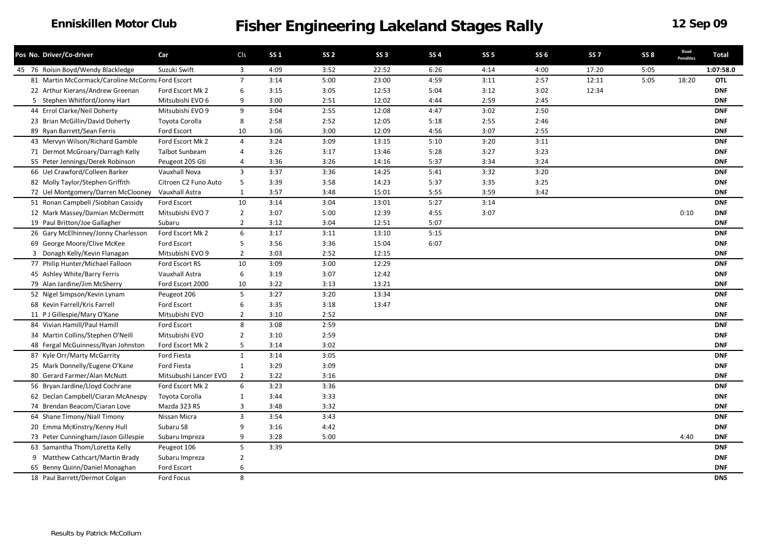#### **Enniskillen Motor Club**

| Pos No. Driver/Co-driver                         | Car                   | CIs            | <b>SS 1</b> | SS <sub>2</sub> | <b>SS 3</b> | <b>SS4</b> | SS <sub>5</sub> | <b>SS 6</b> | SS <sub>7</sub> | SS <sub>8</sub> | Road<br><b>Penalties</b> | Total      |
|--------------------------------------------------|-----------------------|----------------|-------------|-----------------|-------------|------------|-----------------|-------------|-----------------|-----------------|--------------------------|------------|
| 45 76 Roisin Boyd/Wendy Blackledge               | Suzuki Swift          | 3              | 4:09        | 3:52            | 22:52       | 6:26       | 4:14            | 4:00        | 17:20           | 5:05            |                          | 1:07:58.0  |
| 81 Martin McCormack/Caroline McCorma Ford Escort |                       | $\overline{7}$ | 3:14        | 5:00            | 23:00       | 4:59       | 3:11            | 2:57        | 12:11           | 5:05            | 18:20                    | <b>OTL</b> |
| 22 Arthur Kierans/Andrew Greenan                 | Ford Escort Mk 2      | 6              | 3:15        | 3:05            | 12:53       | 5:04       | 3:12            | 3:02        | 12:34           |                 |                          | <b>DNF</b> |
| 5 Stephen Whitford/Jonny Hart                    | Mitsubishi EVO 6      | 9              | 3:00        | 2:51            | 12:02       | 4:44       | 2:59            | 2:45        |                 |                 |                          | <b>DNF</b> |
| 44 Errol Clarke/Neil Doherty                     | Mitsubishi EVO 9      | 9              | 3:04        | 2:55            | 12:08       | 4:47       | 3:02            | 2:50        |                 |                 |                          | <b>DNF</b> |
| 23 Brian McGillin/David Doherty                  | Toyota Corolla        | 8              | 2:58        | 2:52            | 12:05       | 5:18       | 2:55            | 2:46        |                 |                 |                          | <b>DNF</b> |
| 89 Ryan Barrett/Sean Ferris                      | Ford Escort           | 10             | 3:06        | 3:00            | 12:09       | 4:56       | 3:07            | 2:55        |                 |                 |                          | <b>DNF</b> |
| 43 Mervyn Wilson/Richard Gamble                  | Ford Escort Mk 2      | $\overline{4}$ | 3:24        | 3:09            | 13:15       | 5:10       | 3:20            | 3:11        |                 |                 |                          | <b>DNF</b> |
| 71 Dermot McGroary/Darragh Kelly                 | <b>Talbot Sunbeam</b> | 4              | 3:26        | 3:17            | 13:46       | 5:28       | 3:27            | 3:23        |                 |                 |                          | <b>DNF</b> |
| 55 Peter Jennings/Derek Robinson                 | Peugeot 205 Gti       | 4              | 3:36        | 3:26            | 14:16       | 5:37       | 3:34            | 3:24        |                 |                 |                          | <b>DNF</b> |
| 66 Uel Crawford/Colleen Barker                   | Vauxhall Nova         | $\overline{3}$ | 3:37        | 3:36            | 14:25       | 5:41       | 3:32            | 3:20        |                 |                 |                          | <b>DNF</b> |
| 82 Molly Taylor/Stephen Griffith                 | Citroen C2 Funo Auto  | 5              | 3:39        | 3:58            | 14:23       | 5:37       | 3:35            | 3:25        |                 |                 |                          | <b>DNF</b> |
| 72 Uel Montgomery/Darren McClooney               | Vauxhall Astra        | $\mathbf{1}$   | 3:57        | 3:48            | 15:01       | 5:55       | 3:59            | 3:42        |                 |                 |                          | <b>DNF</b> |
| 51 Ronan Campbell / Siobhan Cassidy              | Ford Escort           | 10             | 3:14        | 3:04            | 13:01       | 5:27       | 3:14            |             |                 |                 |                          | <b>DNF</b> |
| 12 Mark Massey/Damian McDermott                  | Mitsubishi EVO 7      | $\overline{2}$ | 3:07        | 5:00            | 12:39       | 4:55       | 3:07            |             |                 |                 | 0:10                     | <b>DNF</b> |
| 19 Paul Britton/Joe Gallagher                    | Subaru                | $\overline{2}$ | 3:12        | 3:04            | 12:51       | 5:07       |                 |             |                 |                 |                          | <b>DNF</b> |
| 26 Gary McElhinney/Jonny Charlesson              | Ford Escort Mk 2      | 6              | 3:17        | 3:11            | 13:10       | 5:15       |                 |             |                 |                 |                          | <b>DNF</b> |
| 69 George Moore/Clive McKee                      | Ford Escort           | 5              | 3:56        | 3:36            | 15:04       | 6:07       |                 |             |                 |                 |                          | <b>DNF</b> |
| 3 Donagh Kelly/Kevin Flanagan                    | Mitsubishi EVO 9      | $\overline{2}$ | 3:03        | 2:52            | 12:15       |            |                 |             |                 |                 |                          | <b>DNF</b> |
| 77 Philip Hunter/Michael Falloon                 | Ford Escort RS        | 10             | 3:09        | 3:00            | 12:29       |            |                 |             |                 |                 |                          | <b>DNF</b> |
| 45 Ashley White/Barry Ferris                     | Vauxhall Astra        | 6              | 3:19        | 3:07            | 12:42       |            |                 |             |                 |                 |                          | <b>DNF</b> |
| 79 Alan Jardine/Jim McSherry                     | Ford Escort 2000      | 10             | 3:22        | 3:13            | 13:21       |            |                 |             |                 |                 |                          | <b>DNF</b> |
| 52 Nigel Simpson/Kevin Lynam                     | Peugeot 206           | 5              | 3:27        | 3:20            | 13:34       |            |                 |             |                 |                 |                          | <b>DNF</b> |
| 68 Kevin Farrell/Kris Farrell                    | Ford Escort           | 6              | 3:35        | 3:18            | 13:47       |            |                 |             |                 |                 |                          | <b>DNF</b> |
| 11 P J Gillespie/Mary O'Kane                     | Mitsubishi EVO        | $\overline{2}$ | 3:10        | 2:52            |             |            |                 |             |                 |                 |                          | <b>DNF</b> |
| 84 Vivian Hamill/Paul Hamill                     | Ford Escort           | 8              | 3:08        | 2:59            |             |            |                 |             |                 |                 |                          | <b>DNF</b> |
| 34 Martin Collins/Stephen O'Neill                | Mitsubishi EVO        | $\overline{2}$ | 3:10        | 2:59            |             |            |                 |             |                 |                 |                          | <b>DNF</b> |
| 48 Fergal McGuinness/Ryan Johnston               | Ford Escort Mk 2      | 5              | 3:14        | 3:02            |             |            |                 |             |                 |                 |                          | <b>DNF</b> |
| 87 Kyle Orr/Marty McGarrity                      | Ford Fiesta           | 1              | 3:14        | 3:05            |             |            |                 |             |                 |                 |                          | <b>DNF</b> |
| 25 Mark Donnelly/Eugene O'Kane                   | Ford Fiesta           | 1              | 3:29        | 3:09            |             |            |                 |             |                 |                 |                          | <b>DNF</b> |
| 80 Gerard Farmer/Alan McNutt                     | Mitsubushi Lancer EVO | $\overline{2}$ | 3:22        | 3:16            |             |            |                 |             |                 |                 |                          | <b>DNF</b> |
| 56 Bryan Jardine/Lloyd Cochrane                  | Ford Escort Mk 2      | 6              | 3:23        | 3:36            |             |            |                 |             |                 |                 |                          | <b>DNF</b> |
| 62 Declan Campbell/Ciaran McAnespy               | Toyota Corolla        | $\mathbf{1}$   | 3:44        | 3:33            |             |            |                 |             |                 |                 |                          | <b>DNF</b> |
| 74 Brendan Beacom/Ciaran Love                    | Mazda 323 RS          | 3              | 3:48        | 3:32            |             |            |                 |             |                 |                 |                          | <b>DNF</b> |
| 64 Shane Timony/Niall Timony                     | Nissan Micra          | 3              | 3:54        | 3:43            |             |            |                 |             |                 |                 |                          | <b>DNF</b> |
| 20 Emma McKinstry/Kenny Hull                     | Subaru S8             | 9              | 3:16        | 4:42            |             |            |                 |             |                 |                 |                          | <b>DNF</b> |
| 73 Peter Cunningham/Jason Gillespie              | Subaru Impreza        | 9              | 3:28        | 5:00            |             |            |                 |             |                 |                 | 4:40                     | <b>DNF</b> |
| 63 Samantha Thom/Loretta Kelly                   | Peugeot 106           | 5              | 3:39        |                 |             |            |                 |             |                 |                 |                          | <b>DNF</b> |
| 9 Matthew Cathcart/Martin Brady                  | Subaru Impreza        | $\overline{2}$ |             |                 |             |            |                 |             |                 |                 |                          | <b>DNF</b> |
| 65 Benny Quinn/Daniel Monaghan                   | Ford Escort           | 6              |             |                 |             |            |                 |             |                 |                 |                          | <b>DNF</b> |
| 18 Paul Barrett/Dermot Colgan                    | Ford Focus            | 8              |             |                 |             |            |                 |             |                 |                 |                          | <b>DNS</b> |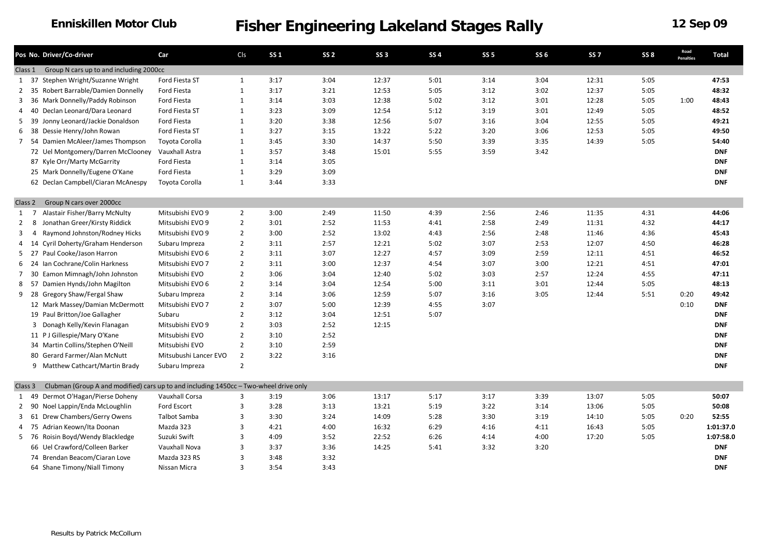|                | Pos No. Driver/Co-driver                                                              | Car                   | Cls            | <b>SS 1</b> | SS <sub>2</sub> | SS <sub>3</sub> | <b>SS4</b> | <b>SS 5</b> | SS <sub>6</sub> | SS <sub>7</sub> | SS <sub>8</sub> | Road<br><b>Penalties</b> | <b>Total</b> |
|----------------|---------------------------------------------------------------------------------------|-----------------------|----------------|-------------|-----------------|-----------------|------------|-------------|-----------------|-----------------|-----------------|--------------------------|--------------|
|                | Group N cars up to and including 2000cc<br>Class 1                                    |                       |                |             |                 |                 |            |             |                 |                 |                 |                          |              |
|                | Stephen Wright/Suzanne Wright<br>1 37                                                 | Ford Fiesta ST        | $\mathbf{1}$   | 3:17        | 3:04            | 12:37           | 5:01       | 3:14        | 3:04            | 12:31           | 5:05            |                          | 47:53        |
| $\overline{2}$ | Robert Barrable/Damien Donnelly<br>- 35                                               | Ford Fiesta           | $\mathbf{1}$   | 3:17        | 3:21            | 12:53           | 5:05       | 3:12        | 3:02            | 12:37           | 5:05            |                          | 48:32        |
| 3              | Mark Donnelly/Paddy Robinson<br>36                                                    | Ford Fiesta           | $\mathbf{1}$   | 3:14        | 3:03            | 12:38           | 5:02       | 3:12        | 3:01            | 12:28           | 5:05            | 1:00                     | 48:43        |
| 4              | Declan Leonard/Dara Leonard<br>40                                                     | Ford Fiesta ST        | $\mathbf{1}$   | 3:23        | 3:09            | 12:54           | 5:12       | 3:19        | 3:01            | 12:49           | 5:05            |                          | 48:52        |
|                | Jonny Leonard/Jackie Donaldson<br>5 39                                                | <b>Ford Fiesta</b>    | $\mathbf{1}$   | 3:20        | 3:38            | 12:56           | 5:07       | 3:16        | 3:04            | 12:55           | 5:05            |                          | 49:21        |
|                | Dessie Henry/John Rowan<br>6 38                                                       | Ford Fiesta ST        | 1              | 3:27        | 3:15            | 13:22           | 5:22       | 3:20        | 3:06            | 12:53           | 5:05            |                          | 49:50        |
| 7              | Damien McAleer/James Thompson<br>-54                                                  | Toyota Corolla        | $\mathbf{1}$   | 3:45        | 3:30            | 14:37           | 5:50       | 3:39        | 3:35            | 14:39           | 5:05            |                          | 54:40        |
|                | 72 Uel Montgomery/Darren McClooney                                                    | Vauxhall Astra        | $\mathbf{1}$   | 3:57        | 3:48            | 15:01           | 5:55       | 3:59        | 3:42            |                 |                 |                          | <b>DNF</b>   |
|                | 87 Kyle Orr/Marty McGarrity                                                           | Ford Fiesta           | $\mathbf{1}$   | 3:14        | 3:05            |                 |            |             |                 |                 |                 |                          | <b>DNF</b>   |
|                | 25 Mark Donnelly/Eugene O'Kane                                                        | <b>Ford Fiesta</b>    | 1              | 3:29        | 3:09            |                 |            |             |                 |                 |                 |                          | <b>DNF</b>   |
|                | 62 Declan Campbell/Ciaran McAnespy                                                    | Toyota Corolla        | 1              | 3:44        | 3:33            |                 |            |             |                 |                 |                 |                          | <b>DNF</b>   |
|                | Group N cars over 2000cc<br>Class 2                                                   |                       |                |             |                 |                 |            |             |                 |                 |                 |                          |              |
|                | Alastair Fisher/Barry McNulty<br>$1 \quad 7$                                          | Mitsubishi EVO 9      | $\overline{2}$ | 3:00        | 2:49            | 11:50           | 4:39       | 2:56        | 2:46            | 11:35           | 4:31            |                          | 44:06        |
| $\overline{2}$ | Jonathan Greer/Kirsty Riddick<br>-8                                                   | Mitsubishi EVO 9      | $\overline{2}$ | 3:01        | 2:52            | 11:53           | 4:41       | 2:58        | 2:49            | 11:31           | 4:32            |                          | 44:17        |
| 3              | Raymond Johnston/Rodney Hicks<br>$\overline{4}$                                       | Mitsubishi EVO 9      | $\overline{2}$ | 3:00        | 2:52            | 13:02           | 4:43       | 2:56        | 2:48            | 11:46           | 4:36            |                          | 45:43        |
| 4              | Cyril Doherty/Graham Henderson<br>14                                                  | Subaru Impreza        | $\overline{2}$ | 3:11        | 2:57            | 12:21           | 5:02       | 3:07        | 2:53            | 12:07           | 4:50            |                          | 46:28        |
|                | Paul Cooke/Jason Harron<br>$5$ 27                                                     | Mitsubishi EVO 6      | $\overline{2}$ | 3:11        | 3:07            | 12:27           | 4:57       | 3:09        | 2:59            | 12:11           | 4:51            |                          | 46:52        |
|                | Ian Cochrane/Colin Harkness<br>6 24                                                   | Mitsubishi EVO 7      | $\overline{2}$ | 3:11        | 3:00            | 12:37           | 4:54       | 3:07        | 3:00            | 12:21           | 4:51            |                          | 47:01        |
|                | Eamon Mimnagh/John Johnston<br>7 30                                                   | Mitsubishi EVO        | $\overline{2}$ | 3:06        | 3:04            | 12:40           | 5:02       | 3:03        | 2:57            | 12:24           | 4:55            |                          | 47:11        |
| 8              | Damien Hynds/John Magilton<br>- 57                                                    | Mitsubishi EVO 6      | $\overline{2}$ | 3:14        | 3:04            | 12:54           | 5:00       | 3:11        | 3:01            | 12:44           | 5:05            |                          | 48:13        |
|                | 9 28<br>Gregory Shaw/Fergal Shaw                                                      | Subaru Impreza        | $\overline{2}$ | 3:14        | 3:06            | 12:59           | 5:07       | 3:16        | 3:05            | 12:44           | 5:51            | 0:20                     | 49:42        |
|                | 12 Mark Massey/Damian McDermott                                                       | Mitsubishi EVO 7      | $\overline{2}$ | 3:07        | 5:00            | 12:39           | 4:55       | 3:07        |                 |                 |                 | 0:10                     | <b>DNF</b>   |
|                | 19 Paul Britton/Joe Gallagher                                                         | Subaru                | $\overline{2}$ | 3:12        | 3:04            | 12:51           | 5:07       |             |                 |                 |                 |                          | <b>DNF</b>   |
|                | 3 Donagh Kelly/Kevin Flanagan                                                         | Mitsubishi EVO 9      | $\overline{2}$ | 3:03        | 2:52            | 12:15           |            |             |                 |                 |                 |                          | <b>DNF</b>   |
|                | 11 PJ Gillespie/Mary O'Kane                                                           | Mitsubishi EVO        | $\overline{2}$ | 3:10        | 2:52            |                 |            |             |                 |                 |                 |                          | <b>DNF</b>   |
|                | 34 Martin Collins/Stephen O'Neill                                                     | Mitsubishi EVO        | $\overline{2}$ | 3:10        | 2:59            |                 |            |             |                 |                 |                 |                          | <b>DNF</b>   |
|                | 80 Gerard Farmer/Alan McNutt                                                          | Mitsubushi Lancer EVO | $\overline{2}$ | 3:22        | 3:16            |                 |            |             |                 |                 |                 |                          | <b>DNF</b>   |
|                | 9 Matthew Cathcart/Martin Brady                                                       | Subaru Impreza        | $\overline{2}$ |             |                 |                 |            |             |                 |                 |                 |                          | <b>DNF</b>   |
| Class 3        | Clubman (Group A and modified) cars up to and including 1450cc - Two-wheel drive only |                       |                |             |                 |                 |            |             |                 |                 |                 |                          |              |
|                | Dermot O'Hagan/Pierse Doheny<br>1 49                                                  | Vauxhall Corsa        | 3              | 3:19        | 3:06            | 13:17           | 5:17       | 3:17        | 3:39            | 13:07           | 5:05            |                          | 50:07        |
|                | Noel Lappin/Enda McLoughlin<br>2 90                                                   | Ford Escort           | 3              | 3:28        | 3:13            | 13:21           | 5:19       | 3:22        | 3:14            | 13:06           | 5:05            |                          | 50:08        |
|                | Drew Chambers/Gerry Owens<br>3 61                                                     | <b>Talbot Samba</b>   | 3              | 3:30        | 3:24            | 14:09           | 5:28       | 3:30        | 3:19            | 14:10           | 5:05            | 0:20                     | 52:55        |
| $\overline{4}$ | Adrian Keown/Ita Doonan<br>75                                                         | Mazda 323             | 3              | 4:21        | 4:00            | 16:32           | 6:29       | 4:16        | 4:11            | 16:43           | 5:05            |                          | 1:01:37.0    |
|                | Roisin Boyd/Wendy Blackledge<br>5 76                                                  | Suzuki Swift          | 3              | 4:09        | 3:52            | 22:52           | 6:26       | 4:14        | 4:00            | 17:20           | 5:05            |                          | 1:07:58.0    |
|                | 66 Uel Crawford/Colleen Barker                                                        | Vauxhall Nova         | 3              | 3:37        | 3:36            | 14:25           | 5:41       | 3:32        | 3:20            |                 |                 |                          | <b>DNF</b>   |
|                | 74 Brendan Beacom/Ciaran Love                                                         | Mazda 323 RS          | 3              | 3:48        | 3:32            |                 |            |             |                 |                 |                 |                          | <b>DNF</b>   |
|                | 64 Shane Timony/Niall Timony                                                          | Nissan Micra          | $\mathbf{3}$   | 3:54        | 3:43            |                 |            |             |                 |                 |                 |                          | <b>DNF</b>   |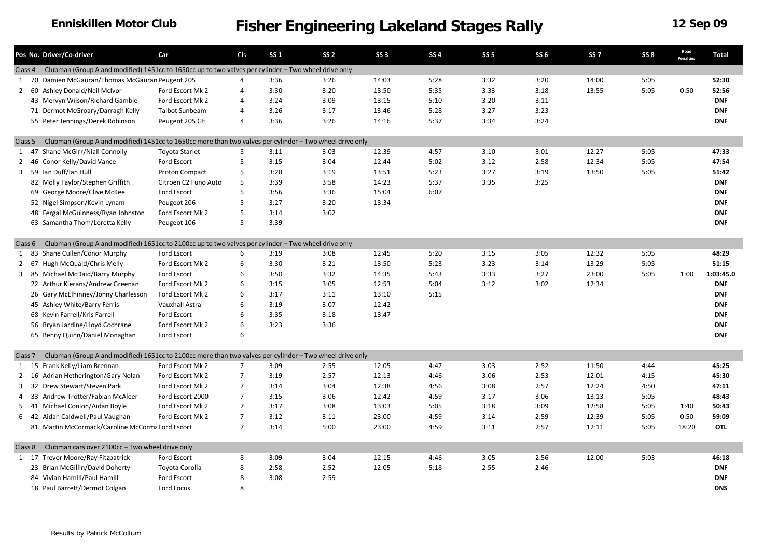### **Enniskillen Motor Club**

|                    |    | Pos No. Driver/Co-driver                                                                                 | Car                   | Cls            | <b>SS1</b> | SS <sub>2</sub> | SS <sub>3</sub> | <b>SS4</b> | SS <sub>5</sub> | <b>SS 6</b> | SS <sub>7</sub> | SS <sub>8</sub> | Road<br>Penalties | <b>Total</b> |
|--------------------|----|----------------------------------------------------------------------------------------------------------|-----------------------|----------------|------------|-----------------|-----------------|------------|-----------------|-------------|-----------------|-----------------|-------------------|--------------|
| Class 4            |    | Clubman (Group A and modified) 1451cc to 1650cc up to two valves per cylinder - Two wheel drive only     |                       |                |            |                 |                 |            |                 |             |                 |                 |                   |              |
| 1 70               |    | Damien McGauran/Thomas McGauran Peugeot 205                                                              |                       | 4              | 3:36       | 3:26            | 14:03           | 5:28       | 3:32            | 3:20        | 14:00           | 5:05            |                   | 52:30        |
|                    |    | 2 60 Ashley Donald/Neil McIvor                                                                           | Ford Escort Mk 2      | 4              | 3:30       | 3:20            | 13:50           | 5:35       | 3:33            | 3:18        | 13:55           | 5:05            | 0:50              | 52:56        |
|                    |    | 43 Mervyn Wilson/Richard Gamble                                                                          | Ford Escort Mk 2      | $\overline{4}$ | 3:24       | 3:09            | 13:15           | 5:10       | 3:20            | 3:11        |                 |                 |                   | <b>DNF</b>   |
|                    |    | 71 Dermot McGroary/Darragh Kelly                                                                         | <b>Talbot Sunbeam</b> | 4              | 3:26       | 3:17            | 13:46           | 5:28       | 3:27            | 3:23        |                 |                 |                   | <b>DNF</b>   |
|                    |    | 55 Peter Jennings/Derek Robinson                                                                         | Peugeot 205 Gti       | $\overline{4}$ | 3:36       | 3:26            | 14:16           | 5:37       | 3:34            | 3:24        |                 |                 |                   | <b>DNF</b>   |
| Class 5            |    | Clubman (Group A and modified) 1451cc to 1650cc more than two valves per cylinder - Two wheel drive only |                       |                |            |                 |                 |            |                 |             |                 |                 |                   |              |
| 1 47               |    | Shane McGirr/Niall Connolly                                                                              | <b>Toyota Starlet</b> | 5              | 3:11       | 3:03            | 12:39           | 4:57       | 3:10            | 3:01        | 12:27           | 5:05            |                   | 47:33        |
| 2 46               |    | Conor Kelly/David Vance                                                                                  | Ford Escort           | 5              | 3:15       | 3:04            | 12:44           | 5:02       | 3:12            | 2:58        | 12:34           | 5:05            |                   | 47:54        |
|                    |    | 3 59 Ian Duff/Ian Hull                                                                                   | Proton Compact        | 5              | 3:28       | 3:19            | 13:51           | 5:23       | 3:27            | 3:19        | 13:50           | 5:05            |                   | 51:42        |
|                    |    | 82 Molly Taylor/Stephen Griffith                                                                         | Citroen C2 Funo Auto  | 5              | 3:39       | 3:58            | 14:23           | 5:37       | 3:35            | 3:25        |                 |                 |                   | <b>DNF</b>   |
|                    |    | 69 George Moore/Clive McKee                                                                              | Ford Escort           | 5              | 3:56       | 3:36            | 15:04           | 6:07       |                 |             |                 |                 |                   | <b>DNF</b>   |
|                    |    | 52 Nigel Simpson/Kevin Lynam                                                                             | Peugeot 206           | 5              | 3:27       | 3:20            | 13:34           |            |                 |             |                 |                 |                   | <b>DNF</b>   |
|                    |    | 48 Fergal McGuinness/Ryan Johnston                                                                       | Ford Escort Mk 2      | 5              | 3:14       | 3:02            |                 |            |                 |             |                 |                 |                   | <b>DNF</b>   |
|                    |    | 63 Samantha Thom/Loretta Kelly                                                                           | Peugeot 106           | 5              | 3:39       |                 |                 |            |                 |             |                 |                 |                   | <b>DNF</b>   |
|                    |    |                                                                                                          |                       |                |            |                 |                 |            |                 |             |                 |                 |                   |              |
| Class 6            |    | Clubman (Group A and modified) 1651cc to 2100cc up to two valves per cylinder - Two wheel drive only     |                       |                |            |                 |                 |            |                 |             |                 |                 |                   |              |
| 1 83               |    | Shane Cullen/Conor Murphy                                                                                | Ford Escort           | 6              | 3:19       | 3:08            | 12:45           | 5:20       | 3:15            | 3:05        | 12:32           | 5:05            |                   | 48:29        |
| 2                  | 67 | Hugh McQuaid/Chris Melly                                                                                 | Ford Escort Mk 2      | 6              | 3:30       | 3:21            | 13:50           | 5:23       | 3:23            | 3:14        | 13:29           | 5:05            |                   | 51:15        |
|                    |    | 3 85 Michael McDaid/Barry Murphy                                                                         | Ford Escort           | 6              | 3:50       | 3:32            | 14:35           | 5:43       | 3:33            | 3:27        | 23:00           | 5:05            | 1:00              | 1:03:45.0    |
|                    |    | 22 Arthur Kierans/Andrew Greenan                                                                         | Ford Escort Mk 2      | 6              | 3:15       | 3:05            | 12:53           | 5:04       | 3:12            | 3:02        | 12:34           |                 |                   | <b>DNF</b>   |
|                    |    | 26 Gary McElhinney/Jonny Charlesson                                                                      | Ford Escort Mk 2      | 6              | 3:17       | 3:11            | 13:10           | 5:15       |                 |             |                 |                 |                   | <b>DNF</b>   |
|                    |    | 45 Ashley White/Barry Ferris                                                                             | Vauxhall Astra        | 6              | 3:19       | 3:07            | 12:42           |            |                 |             |                 |                 |                   | <b>DNF</b>   |
|                    |    | 68 Kevin Farrell/Kris Farrell                                                                            | Ford Escort           | 6              | 3:35       | 3:18            | 13:47           |            |                 |             |                 |                 |                   | <b>DNF</b>   |
|                    |    | 56 Bryan Jardine/Lloyd Cochrane                                                                          | Ford Escort Mk 2      | 6              | 3:23       | 3:36            |                 |            |                 |             |                 |                 |                   | <b>DNF</b>   |
|                    |    | 65 Benny Quinn/Daniel Monaghan                                                                           | Ford Escort           | 6              |            |                 |                 |            |                 |             |                 |                 |                   | <b>DNF</b>   |
| Class <sub>7</sub> |    | Clubman (Group A and modified) 1651cc to 2100cc more than two valves per cylinder - Two wheel drive only |                       |                |            |                 |                 |            |                 |             |                 |                 |                   |              |
|                    |    | 1 15 Frank Kelly/Liam Brennan                                                                            | Ford Escort Mk 2      | $\overline{7}$ | 3:09       | 2:55            | 12:05           | 4:47       | 3:03            | 2:52        | 11:50           | 4:44            |                   | 45:25        |
| 2 16               |    | Adrian Hetherington/Gary Nolan                                                                           | Ford Escort Mk 2      | $\overline{7}$ | 3:19       | 2:57            | 12:13           | 4:46       | 3:06            | 2:53        | 12:01           | 4:15            |                   | 45:30        |
| 3 32               |    | Drew Stewart/Steven Park                                                                                 | Ford Escort Mk 2      | $\overline{7}$ | 3:14       | 3:04            | 12:38           | 4:56       | 3:08            | 2:57        | 12:24           | 4:50            |                   | 47:11        |
| 4                  | 33 | Andrew Trotter/Fabian McAleer                                                                            | Ford Escort 2000      | $\overline{7}$ | 3:15       | 3:06            | 12:42           | 4:59       | 3:17            | 3:06        | 13:13           | 5:05            |                   | 48:43        |
| 5                  | 41 | Michael Conlon/Aidan Boyle                                                                               | Ford Escort Mk 2      | $\overline{7}$ | 3:17       | 3:08            | 13:03           | 5:05       | 3:18            | 3:09        | 12:58           | 5:05            | 1:40              | 50:43        |
|                    |    | 6 42 Aidan Caldwell/Paul Vaughan                                                                         | Ford Escort Mk 2      | $\overline{7}$ | 3:12       | 3:11            | 23:00           | 4:59       | 3:14            | 2:59        | 12:39           | 5:05            | 0:50              | 59:09        |
|                    |    | 81 Martin McCormack/Caroline McCorma Ford Escort                                                         |                       | $\overline{7}$ | 3:14       | 5:00            | 23:00           | 4:59       | 3:11            | 2:57        | 12:11           | 5:05            | 18:20             | <b>OTL</b>   |
|                    |    |                                                                                                          |                       |                |            |                 |                 |            |                 |             |                 |                 |                   |              |
| Class 8            |    | Clubman cars over 2100cc - Two wheel drive only                                                          |                       |                |            |                 |                 |            |                 |             |                 |                 |                   |              |
|                    |    | 1 17 Trevor Moore/Ray Fitzpatrick                                                                        | Ford Escort           | 8              | 3:09       | 3:04            | 12:15           | 4:46       | 3:05            | 2:56        | 12:00           | 5:03            |                   | 46:18        |
|                    |    | 23 Brian McGillin/David Doherty                                                                          | Toyota Corolla        | 8              | 2:58       | 2:52            | 12:05           | 5:18       | 2:55            | 2:46        |                 |                 |                   | <b>DNF</b>   |
|                    |    | 84 Vivian Hamill/Paul Hamill                                                                             | Ford Escort           | 8              | 3:08       | 2:59            |                 |            |                 |             |                 |                 |                   | <b>DNF</b>   |
|                    |    | 18 Paul Barrett/Dermot Colgan                                                                            | <b>Ford Focus</b>     | 8              |            |                 |                 |            |                 |             |                 |                 |                   | <b>DNS</b>   |